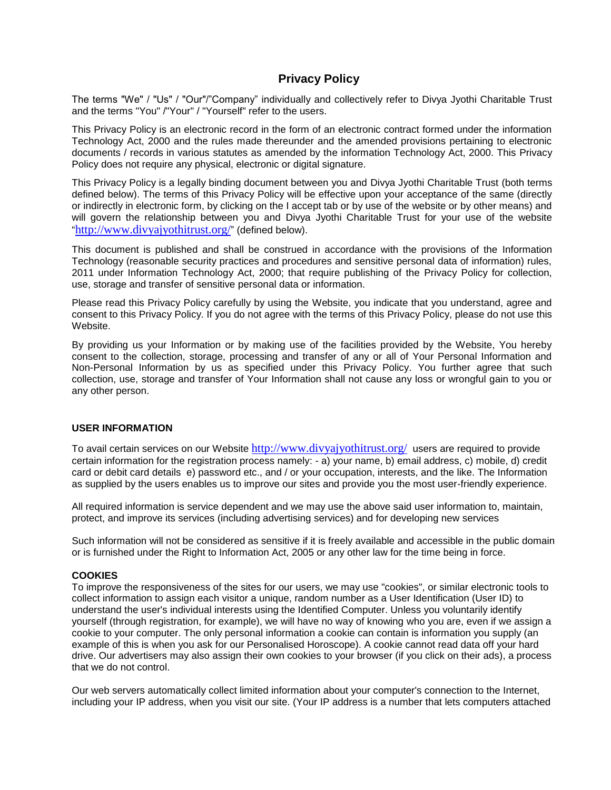# **Privacy Policy**

The terms "We" / "Us" / "Our"/"Company" individually and collectively refer to Divya Jyothi Charitable Trust and the terms "You" /"Your" / "Yourself" refer to the users.

This Privacy Policy is an electronic record in the form of an electronic contract formed under the information Technology Act, 2000 and the rules made thereunder and the amended provisions pertaining to electronic documents / records in various statutes as amended by the information Technology Act, 2000. This Privacy Policy does not require any physical, electronic or digital signature.

This Privacy Policy is a legally binding document between you and Divya Jyothi Charitable Trust (both terms defined below). The terms of this Privacy Policy will be effective upon your acceptance of the same (directly or indirectly in electronic form, by clicking on the I accept tab or by use of the website or by other means) and will govern the relationship between you and Divya Jyothi Charitable Trust for your use of the website "<http://www.divyajyothitrust.org/>" (defined below).

This document is published and shall be construed in accordance with the provisions of the Information Technology (reasonable security practices and procedures and sensitive personal data of information) rules, 2011 under Information Technology Act, 2000; that require publishing of the Privacy Policy for collection, use, storage and transfer of sensitive personal data or information.

Please read this Privacy Policy carefully by using the Website, you indicate that you understand, agree and consent to this Privacy Policy. If you do not agree with the terms of this Privacy Policy, please do not use this Website.

By providing us your Information or by making use of the facilities provided by the Website, You hereby consent to the collection, storage, processing and transfer of any or all of Your Personal Information and Non-Personal Information by us as specified under this Privacy Policy. You further agree that such collection, use, storage and transfer of Your Information shall not cause any loss or wrongful gain to you or any other person.

## **USER INFORMATION**

To avail certain services on our Website <http://www.divyajyothitrust.org/> users are required to provide certain information for the registration process namely: - a) your name, b) email address, c) mobile, d) credit card or debit card details e) password etc., and / or your occupation, interests, and the like. The Information as supplied by the users enables us to improve our sites and provide you the most user-friendly experience.

All required information is service dependent and we may use the above said user information to, maintain, protect, and improve its services (including advertising services) and for developing new services

Such information will not be considered as sensitive if it is freely available and accessible in the public domain or is furnished under the Right to Information Act, 2005 or any other law for the time being in force.

## **COOKIES**

To improve the responsiveness of the sites for our users, we may use "cookies", or similar electronic tools to collect information to assign each visitor a unique, random number as a User Identification (User ID) to understand the user's individual interests using the Identified Computer. Unless you voluntarily identify yourself (through registration, for example), we will have no way of knowing who you are, even if we assign a cookie to your computer. The only personal information a cookie can contain is information you supply (an example of this is when you ask for our Personalised Horoscope). A cookie cannot read data off your hard drive. Our advertisers may also assign their own cookies to your browser (if you click on their ads), a process that we do not control.

Our web servers automatically collect limited information about your computer's connection to the Internet, including your IP address, when you visit our site. (Your IP address is a number that lets computers attached